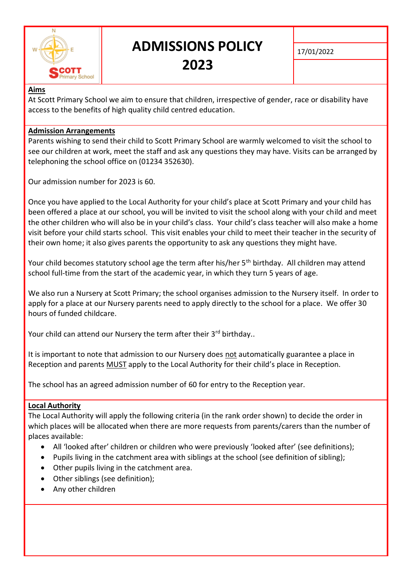

# **ADMISSIONS POLICY 2023**

17/01/2022

# **Aims**

At Scott Primary School we aim to ensure that children, irrespective of gender, race or disability have access to the benefits of high quality child centred education.

## **Admission Arrangements**

Parents wishing to send their child to Scott Primary School are warmly welcomed to visit the school to see our children at work, meet the staff and ask any questions they may have. Visits can be arranged by telephoning the school office on (01234 352630).

Our admission number for 2023 is 60.

Once you have applied to the Local Authority for your child's place at Scott Primary and your child has been offered a place at our school, you will be invited to visit the school along with your child and meet the other children who will also be in your child's class. Your child's class teacher will also make a home visit before your child starts school. This visit enables your child to meet their teacher in the security of their own home; it also gives parents the opportunity to ask any questions they might have.

Your child becomes statutory school age the term after his/her 5<sup>th</sup> birthday. All children may attend school full-time from the start of the academic year, in which they turn 5 years of age.

We also run a Nursery at Scott Primary; the school organises admission to the Nursery itself. In order to apply for a place at our Nursery parents need to apply directly to the school for a place. We offer 30 hours of funded childcare.

Your child can attend our Nursery the term after their 3rd birthday..

It is important to note that admission to our Nursery does not automatically guarantee a place in Reception and parents MUST apply to the Local Authority for their child's place in Reception.

The school has an agreed admission number of 60 for entry to the Reception year.

#### **Local Authority**

The Local Authority will apply the following criteria (in the rank order shown) to decide the order in which places will be allocated when there are more requests from parents/carers than the number of places available:

- All 'looked after' children or children who were previously 'looked after' (see definitions);
- Pupils living in the catchment area with siblings at the school (see definition of sibling);
- Other pupils living in the catchment area.
- Other siblings (see definition);
- Any other children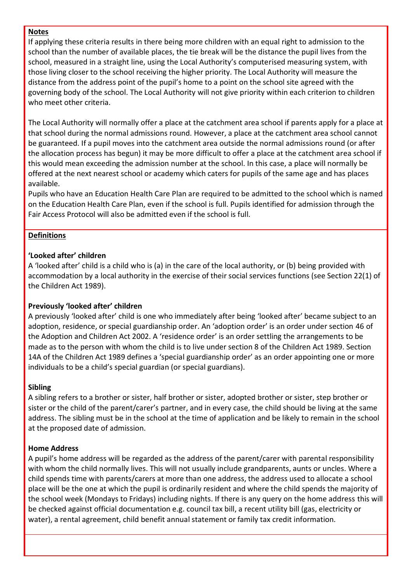#### **Notes**

If applying these criteria results in there being more children with an equal right to admission to the school than the number of available places, the tie break will be the distance the pupil lives from the school, measured in a straight line, using the Local Authority's computerised measuring system, with those living closer to the school receiving the higher priority. The Local Authority will measure the distance from the address point of the pupil's home to a point on the school site agreed with the governing body of the school. The Local Authority will not give priority within each criterion to children who meet other criteria.

The Local Authority will normally offer a place at the catchment area school if parents apply for a place at that school during the normal admissions round. However, a place at the catchment area school cannot be guaranteed. If a pupil moves into the catchment area outside the normal admissions round (or after the allocation process has begun) it may be more difficult to offer a place at the catchment area school if this would mean exceeding the admission number at the school. In this case, a place will normally be offered at the next nearest school or academy which caters for pupils of the same age and has places available.

Pupils who have an Education Health Care Plan are required to be admitted to the school which is named on the Education Health Care Plan, even if the school is full. Pupils identified for admission through the Fair Access Protocol will also be admitted even if the school is full.

## **Definitions**

## **'Looked after' children**

A 'looked after' child is a child who is (a) in the care of the local authority, or (b) being provided with accommodation by a local authority in the exercise of their social services functions (see Section 22(1) of the Children Act 1989).

# **Previously 'looked after' children**

A previously 'looked after' child is one who immediately after being 'looked after' became subject to an adoption, residence, or special guardianship order. An 'adoption order' is an order under section 46 of the Adoption and Children Act 2002. A 'residence order' is an order settling the arrangements to be made as to the person with whom the child is to live under section 8 of the Children Act 1989. Section 14A of the Children Act 1989 defines a 'special guardianship order' as an order appointing one or more individuals to be a child's special guardian (or special guardians).

#### **Sibling**

A sibling refers to a brother or sister, half brother or sister, adopted brother or sister, step brother or sister or the child of the parent/carer's partner, and in every case, the child should be living at the same address. The sibling must be in the school at the time of application and be likely to remain in the school at the proposed date of admission.

#### **Home Address**

A pupil's home address will be regarded as the address of the parent/carer with parental responsibility with whom the child normally lives. This will not usually include grandparents, aunts or uncles. Where a child spends time with parents/carers at more than one address, the address used to allocate a school place will be the one at which the pupil is ordinarily resident and where the child spends the majority of the school week (Mondays to Fridays) including nights. If there is any query on the home address this will be checked against official documentation e.g. council tax bill, a recent utility bill (gas, electricity or water), a rental agreement, child benefit annual statement or family tax credit information.